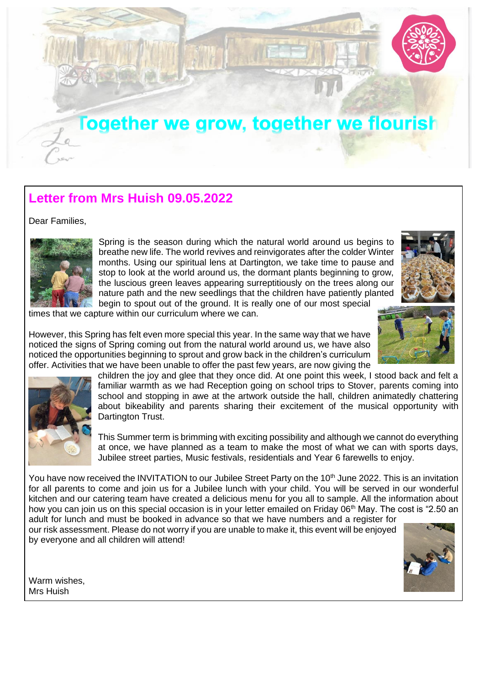

## **Letter from Mrs Huish 09.05.2022**

Dear Families,



Spring is the season during which the natural world around us begins to breathe new life. The world revives and reinvigorates after the colder Winter months. Using our spiritual lens at Dartington, we take time to pause and stop to look at the world around us, the dormant plants beginning to grow, the luscious green leaves appearing surreptitiously on the trees along our nature path and the new seedlings that the children have patiently planted



begin to spout out of the ground. It is really one of our most special

times that we capture within our curriculum where we can.

However, this Spring has felt even more special this year. In the same way that we have noticed the signs of Spring coming out from the natural world around us, we have also noticed the opportunities beginning to sprout and grow back in the children's curriculum offer. Activities that we have been unable to offer the past few years, are now giving the

> children the joy and glee that they once did. At one point this week, I stood back and felt a familiar warmth as we had Reception going on school trips to Stover, parents coming into school and stopping in awe at the artwork outside the hall, children animatedly chattering about bikeability and parents sharing their excitement of the musical opportunity with Dartington Trust.

> This Summer term is brimming with exciting possibility and although we cannot do everything at once, we have planned as a team to make the most of what we can with sports days, Jubilee street parties, Music festivals, residentials and Year 6 farewells to enjoy.

You have now received the INVITATION to our Jubilee Street Party on the 10<sup>th</sup> June 2022. This is an invitation for all parents to come and join us for a Jubilee lunch with your child. You will be served in our wonderful kitchen and our catering team have created a delicious menu for you all to sample. All the information about how you can join us on this special occasion is in your letter emailed on Friday 06<sup>th</sup> May. The cost is "2.50 an

adult for lunch and must be booked in advance so that we have numbers and a register for our risk assessment. Please do not worry if you are unable to make it, this event will be enjoyed by everyone and all children will attend!



Warm wishes, Mrs Huish

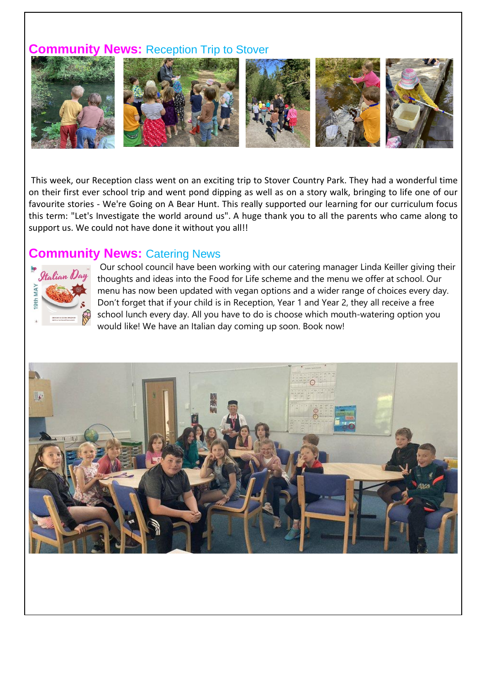#### **Community News:** Reception Trip to Stover



This week, our Reception class went on an exciting trip to Stover Country Park. They had a wonderful time on their first ever school trip and went pond dipping as well as on a story walk, bringing to life one of our favourite stories - We're Going on A Bear Hunt. This really supported our learning for our curriculum focus this term: "Let's Investigate the world around us". A huge thank you to all the parents who came along to support us. We could not have done it without you all!!

#### **Community News: Catering News**



Our school council have been working with our catering manager Linda Keiller giving their thoughts and ideas into the Food for Life scheme and the menu we offer at school. Our menu has now been updated with vegan options and a wider range of choices every day. Don't forget that if your child is in Reception, Year 1 and Year 2, they all receive a free school lunch every day. All you have to do is choose which mouth-watering option you would like! We have an Italian day coming up soon. Book now!

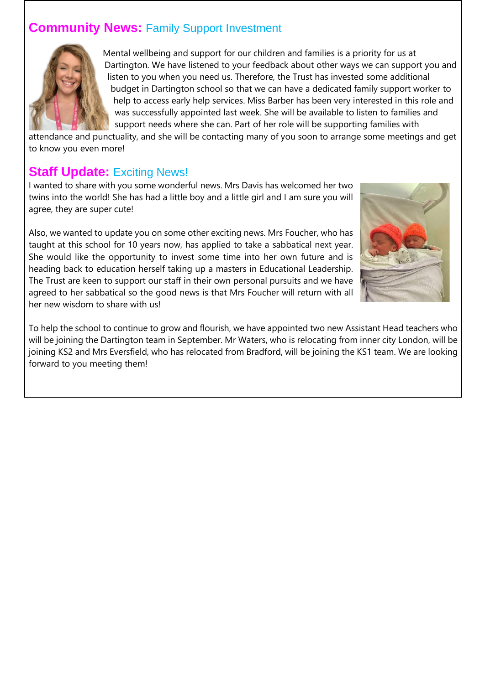## **Community News: Family Support Investment**



Mental wellbeing and support for our children and families is a priority for us at Dartington. We have listened to your feedback about other ways we can support you and listen to you when you need us. Therefore, the Trust has invested some additional budget in Dartington school so that we can have a dedicated family support worker to help to access early help services. Miss Barber has been very interested in this role and was successfully appointed last week. She will be available to listen to families and support needs where she can. Part of her role will be supporting families with

attendance and punctuality, and she will be contacting many of you soon to arrange some meetings and get to know you even more!

### **Staff Update: Exciting News!**

I wanted to share with you some wonderful news. Mrs Davis has welcomed her two twins into the world! She has had a little boy and a little girl and I am sure you will agree, they are super cute!

Also, we wanted to update you on some other exciting news. Mrs Foucher, who has taught at this school for 10 years now, has applied to take a sabbatical next year. She would like the opportunity to invest some time into her own future and is heading back to education herself taking up a masters in Educational Leadership. The Trust are keen to support our staff in their own personal pursuits and we have agreed to her sabbatical so the good news is that Mrs Foucher will return with all her new wisdom to share with us!



To help the school to continue to grow and flourish, we have appointed two new Assistant Head teachers who will be joining the Dartington team in September. Mr Waters, who is relocating from inner city London, will be joining KS2 and Mrs Eversfield, who has relocated from Bradford, will be joining the KS1 team. We are looking forward to you meeting them!